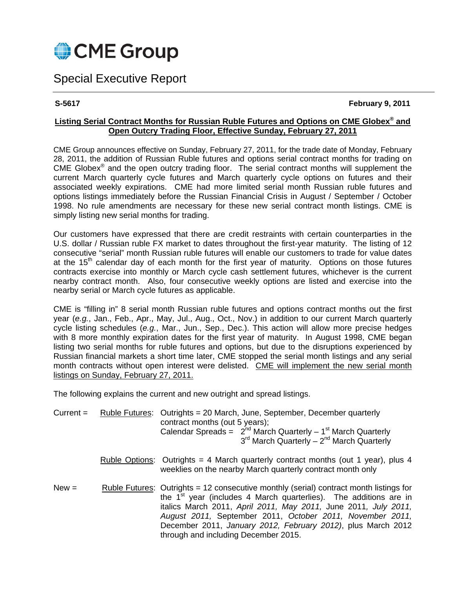

# Special Executive Report

# **S-5617 February 9, 2011**

# **Listing Serial Contract Months for Russian Ruble Futures and Options on CME Globex® and Open Outcry Trading Floor, Effective Sunday, February 27, 2011**

CME Group announces effective on Sunday, February 27, 2011, for the trade date of Monday, February 28, 2011, the addition of Russian Ruble futures and options serial contract months for trading on CME Globex® and the open outcry trading floor. The serial contract months will supplement the current March quarterly cycle futures and March quarterly cycle options on futures and their associated weekly expirations. CME had more limited serial month Russian ruble futures and options listings immediately before the Russian Financial Crisis in August / September / October 1998. No rule amendments are necessary for these new serial contract month listings. CME is simply listing new serial months for trading.

Our customers have expressed that there are credit restraints with certain counterparties in the U.S. dollar / Russian ruble FX market to dates throughout the first-year maturity. The listing of 12 consecutive "serial" month Russian ruble futures will enable our customers to trade for value dates at the  $15<sup>th</sup>$  calendar day of each month for the first year of maturity. Options on those futures contracts exercise into monthly or March cycle cash settlement futures, whichever is the current nearby contract month. Also, four consecutive weekly options are listed and exercise into the nearby serial or March cycle futures as applicable.

CME is "filling in" 8 serial month Russian ruble futures and options contract months out the first year (*e.g.*, Jan., Feb., Apr., May, Jul., Aug., Oct., Nov.) in addition to our current March quarterly cycle listing schedules (*e.g.*, Mar., Jun., Sep., Dec.). This action will allow more precise hedges with 8 more monthly expiration dates for the first year of maturity. In August 1998, CME began listing two serial months for ruble futures and options, but due to the disruptions experienced by Russian financial markets a short time later, CME stopped the serial month listings and any serial month contracts without open interest were delisted. CME will implement the new serial month listings on Sunday, February 27, 2011.

The following explains the current and new outright and spread listings.

| $Current =$ | <b>Ruble Futures:</b> | Outrights = 20 March, June, September, December quarterly<br>contract months (out 5 years);<br>Calendar Spreads = $2^{nd}$ March Quarterly – 1 <sup>st</sup> March Quarterly<br>$3rd$ March Quarterly – $2nd$ March Quarterly                                                                                                                                                                                   |  |  |
|-------------|-----------------------|-----------------------------------------------------------------------------------------------------------------------------------------------------------------------------------------------------------------------------------------------------------------------------------------------------------------------------------------------------------------------------------------------------------------|--|--|
|             |                       | <u>Ruble Options:</u> Outrights = 4 March quarterly contract months (out 1 year), plus 4<br>weeklies on the nearby March quarterly contract month only                                                                                                                                                                                                                                                          |  |  |
| $New =$     |                       | Ruble Futures: Outrights = 12 consecutive monthly (serial) contract month listings for<br>the 1 <sup>st</sup> year (includes 4 March quarterlies). The additions are in<br>italics March 2011, April 2011, May 2011, June 2011, July 2011,<br>August 2011, September 2011, October 2011, November 2011,<br>December 2011, January 2012, February 2012), plus March 2012<br>through and including December 2015. |  |  |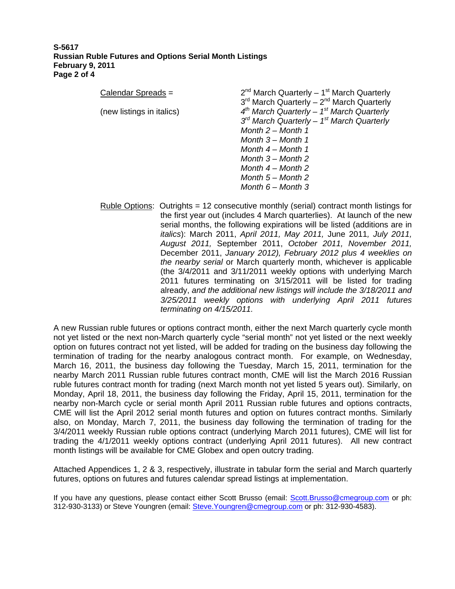### **S-5617 Russian Ruble Futures and Options Serial Month Listings February 9, 2011 Page 2 of 4**

| Calendar Spreads =        | $2^{nd}$ March Quarterly - 1 <sup>st</sup> March Quarterly |
|---------------------------|------------------------------------------------------------|
|                           | $3rd$ March Quarterly – $2nd$ March Quarterly              |
| (new listings in italics) | $4^{th}$ March Quarterly - $1^{st}$ March Quarterly        |
|                           | $3^{rd}$ March Quarterly - $1^{st}$ March Quarterly        |
|                           | Month $2 -$ Month 1                                        |
|                           | Month $3 -$ Month 1                                        |
|                           | Month $4 -$ Month 1                                        |
|                           | Month $3 -$ Month 2                                        |
|                           | Month $4 -$ Month 2                                        |
|                           | Month $5 -$ Month 2                                        |
|                           | Month $6 -$ Month 3                                        |
|                           |                                                            |

Ruble Options: Outrights = 12 consecutive monthly (serial) contract month listings for the first year out (includes 4 March quarterlies). At launch of the new serial months, the following expirations will be listed (additions are in *italics*): March 2011, *April 2011, May 2011,* June 2011*, July 2011, August 2011,* September 2011, *October 2011, November 2011,* December 2011, *January 2012), February 2012 plus 4 weeklies on the nearby serial* or March quarterly month, whichever is applicable (the 3/4/2011 and 3/11/2011 weekly options with underlying March 2011 futures terminating on 3/15/2011 will be listed for trading already, *and the additional new listings will include the 3/18/2011 and 3/25/2011 weekly options with underlying April 2011 futures terminating on 4/15/2011.* 

A new Russian ruble futures or options contract month, either the next March quarterly cycle month not yet listed or the next non-March quarterly cycle "serial month" not yet listed or the next weekly option on futures contract not yet listed, will be added for trading on the business day following the termination of trading for the nearby analogous contract month. For example, on Wednesday, March 16, 2011, the business day following the Tuesday, March 15, 2011, termination for the nearby March 2011 Russian ruble futures contract month, CME will list the March 2016 Russian ruble futures contract month for trading (next March month not yet listed 5 years out). Similarly, on Monday, April 18, 2011, the business day following the Friday, April 15, 2011, termination for the nearby non-March cycle or serial month April 2011 Russian ruble futures and options contracts, CME will list the April 2012 serial month futures and option on futures contract months. Similarly also, on Monday, March 7, 2011, the business day following the termination of trading for the 3/4/2011 weekly Russian ruble options contract (underlying March 2011 futures), CME will list for trading the 4/1/2011 weekly options contract (underlying April 2011 futures). All new contract month listings will be available for CME Globex and open outcry trading.

Attached Appendices 1, 2 & 3, respectively, illustrate in tabular form the serial and March quarterly futures, options on futures and futures calendar spread listings at implementation.

If you have any questions, please contact either Scott Brusso (email: Scott.Brusso@cmegroup.com or ph: 312-930-3133) or Steve Youngren (email: Steve.Youngren@cmegroup.com or ph: 312-930-4583).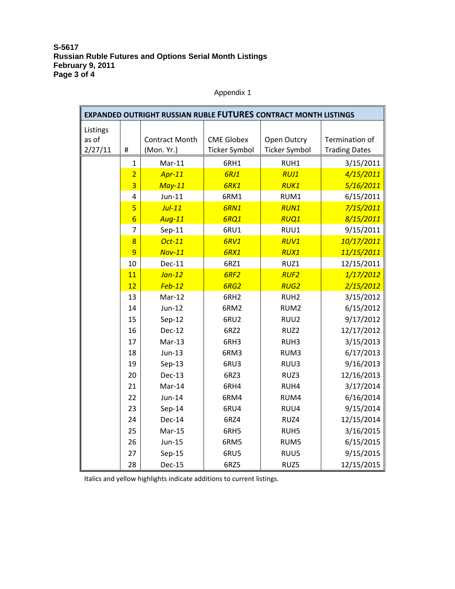## **S-5617 Russian Ruble Futures and Options Serial Month Listings February 9, 2011 Page 3 of 4**

Appendix 1

| EXPANDED OUTRIGHT RUSSIAN RUBLE FUTURES CONTRACT MONTH LISTINGS |                         |                                     |                                           |                                     |                                        |
|-----------------------------------------------------------------|-------------------------|-------------------------------------|-------------------------------------------|-------------------------------------|----------------------------------------|
| Listings<br>as of<br>2/27/11                                    | $\#$                    | <b>Contract Month</b><br>(Mon. Yr.) | <b>CME Globex</b><br><b>Ticker Symbol</b> | Open Outcry<br><b>Ticker Symbol</b> | Termination of<br><b>Trading Dates</b> |
|                                                                 | $\mathbf{1}$            | $Mar-11$                            | 6RH1                                      | RUH1                                | 3/15/2011                              |
|                                                                 | $\overline{2}$          | $Apr-11$                            | <b>6RJ1</b>                               | <b>RUJ1</b>                         | 4/15/2011                              |
|                                                                 | $\overline{3}$          | $May-11$                            | 6RK1                                      | <b>RUK1</b>                         | 5/16/2011                              |
|                                                                 | 4                       | $Jun-11$                            | 6RM1                                      | RUM1                                | 6/15/2011                              |
|                                                                 | $\overline{\mathbf{5}}$ | $Jul-11$                            | <b>6RN1</b>                               | <b>RUN1</b>                         | 7/15/2011                              |
|                                                                 | $6\overline{6}$         | <b>Aug-11</b>                       | 6RQ1                                      | RUQ1                                | 8/15/2011                              |
|                                                                 | $\overline{7}$          | $Sep-11$                            | 6RU1                                      | RUU1                                | 9/15/2011                              |
|                                                                 | 8                       | Oct-11                              | 6RV1                                      | <b>RUV1</b>                         | 10/17/2011                             |
|                                                                 | 9                       | $Nov-11$                            | 6RX1                                      | <b>RUX1</b>                         | 11/15/2011                             |
|                                                                 | 10                      | <b>Dec-11</b>                       | 6RZ1                                      | RUZ1                                | 12/15/2011                             |
|                                                                 | 11                      | $Jan-12$                            | 6RF <sub>2</sub>                          | <b>RUF2</b>                         | 1/17/2012                              |
|                                                                 | 12                      | $Feb-12$                            | 6RG2                                      | <b>RUG2</b>                         | 2/15/2012                              |
|                                                                 | 13                      | Mar-12                              | 6RH <sub>2</sub>                          | RUH <sub>2</sub>                    | 3/15/2012                              |
|                                                                 | 14                      | $Jun-12$                            | 6RM2                                      | RUM <sub>2</sub>                    | 6/15/2012                              |
|                                                                 | 15                      | $Sep-12$                            | 6RU2                                      | RUU2                                | 9/17/2012                              |
|                                                                 | 16                      | <b>Dec-12</b>                       | 6RZ2                                      | RUZ2                                | 12/17/2012                             |
|                                                                 | 17                      | $Mar-13$                            | 6RH3                                      | RUH3                                | 3/15/2013                              |
|                                                                 | 18                      | $Jun-13$                            | 6RM3                                      | RUM3                                | 6/17/2013                              |
|                                                                 | 19                      | $Sep-13$                            | 6RU3                                      | RUU3                                | 9/16/2013                              |
|                                                                 | 20                      | Dec-13                              | 6RZ3                                      | RUZ3                                | 12/16/2013                             |
|                                                                 | 21                      | Mar-14                              | 6RH4                                      | RUH4                                | 3/17/2014                              |
|                                                                 | 22                      | Jun-14                              | 6RM4                                      | RUM4                                | 6/16/2014                              |
|                                                                 | 23                      | $Sep-14$                            | 6RU4                                      | RUU4                                | 9/15/2014                              |
|                                                                 | 24                      | <b>Dec-14</b>                       | 6RZ4                                      | RUZ4                                | 12/15/2014                             |
|                                                                 | 25                      | Mar-15                              | 6RH5                                      | RUH5                                | 3/16/2015                              |
|                                                                 | 26                      | $Jun-15$                            | 6RM5                                      | RUM5                                | 6/15/2015                              |
|                                                                 | 27                      | $Sep-15$                            | 6RU5                                      | RUU5                                | 9/15/2015                              |
|                                                                 | 28                      | <b>Dec-15</b>                       | 6RZ5                                      | RUZ5                                | 12/15/2015                             |

Italics and yellow highlights indicate additions to current listings.